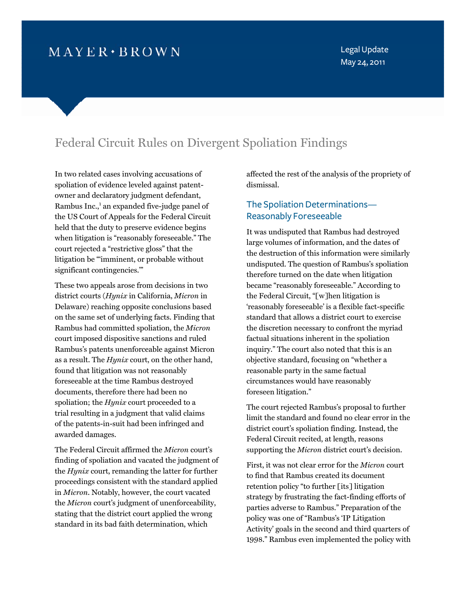# $M$  AYER  $\cdot$  BROWN

Legal Update May 24, 2011

## Federal Circuit Rules on Divergent Spoliation Findings

In two related cases involving accusations of spoliation of evidence leveled against patentowner and declaratory judgment defendant, Rambus Inc.,<sup>1</sup> an expanded five-judge panel of the US Court of Appeals for the Federal Circuit held that the duty to preserve evidence begins when litigation is "reasonably foreseeable." The court rejected a "restrictive gloss" that the litigation be "'imminent, or probable without significant contingencies.'"

These two appeals arose from decisions in two district courts (*Hynix* in California, *Micron* in Delaware) reaching opposite conclusions based on the same set of underlying facts. Finding that Rambus had committed spoliation, the *Micron* court imposed dispositive sanctions and ruled Rambus's patents unenforceable against Micron as a result. The *Hynix* court, on the other hand, found that litigation was not reasonably foreseeable at the time Rambus destroyed documents, therefore there had been no spoliation; the *Hynix* court proceeded to a trial resulting in a judgment that valid claims of the patents-in-suit had been infringed and awarded damages.

The Federal Circuit affirmed the *Micron* court's finding of spoliation and vacated the judgment of the *Hynix* court, remanding the latter for further proceedings consistent with the standard applied in *Micron*. Notably, however, the court vacated the *Micron* court's judgment of unenforceability, stating that the district court applied the wrong standard in its bad faith determination, which

affected the rest of the analysis of the propriety of dismissal.

### The Spoliation Determinations— Reasonably Foreseeable

It was undisputed that Rambus had destroyed large volumes of information, and the dates of the destruction of this information were similarly undisputed. The question of Rambus's spoliation therefore turned on the date when litigation became "reasonably foreseeable." According to the Federal Circuit, "[w]hen litigation is 'reasonably foreseeable' is a flexible fact-specific standard that allows a district court to exercise the discretion necessary to confront the myriad factual situations inherent in the spoliation inquiry." The court also noted that this is an objective standard, focusing on "whether a reasonable party in the same factual circumstances would have reasonably foreseen litigation."

The court rejected Rambus's proposal to further limit the standard and found no clear error in the district court's spoliation finding. Instead, the Federal Circuit recited, at length, reasons supporting the *Micron* district court's decision.

First, it was not clear error for the *Micron* court to find that Rambus created its document retention policy "to further [its] litigation strategy by frustrating the fact-finding efforts of parties adverse to Rambus." Preparation of the policy was one of "Rambus's 'IP Litigation Activity' goals in the second and third quarters of 1998." Rambus even implemented the policy with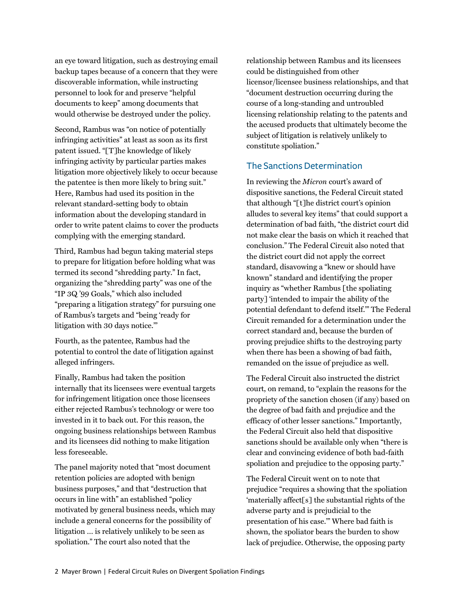an eye toward litigation, such as destroying email backup tapes because of a concern that they were discoverable information, while instructing personnel to look for and preserve "helpful documents to keep" among documents that would otherwise be destroyed under the policy.

Second, Rambus was "on notice of potentially infringing activities" at least as soon as its first patent issued. "[T]he knowledge of likely infringing activity by particular parties makes litigation more objectively likely to occur because the patentee is then more likely to bring suit." Here, Rambus had used its position in the relevant standard-setting body to obtain information about the developing standard in order to write patent claims to cover the products complying with the emerging standard.

Third, Rambus had begun taking material steps to prepare for litigation before holding what was termed its second "shredding party." In fact, organizing the "shredding party" was one of the "IP 3Q '99 Goals," which also included "preparing a litigation strategy" for pursuing one of Rambus's targets and "being 'ready for litigation with 30 days notice.'"

Fourth, as the patentee, Rambus had the potential to control the date of litigation against alleged infringers.

Finally, Rambus had taken the position internally that its licensees were eventual targets for infringement litigation once those licensees either rejected Rambus's technology or were too invested in it to back out. For this reason, the ongoing business relationships between Rambus and its licensees did nothing to make litigation less foreseeable.

The panel majority noted that "most document retention policies are adopted with benign business purposes," and that "destruction that occurs in line with" an established "policy motivated by general business needs, which may include a general concerns for the possibility of litigation … is relatively unlikely to be seen as spoliation." The court also noted that the

relationship between Rambus and its licensees could be distinguished from other licensor/licensee business relationships, and that "document destruction occurring during the course of a long-standing and untroubled licensing relationship relating to the patents and the accused products that ultimately become the subject of litigation is relatively unlikely to constitute spoliation."

#### The Sanctions Determination

In reviewing the *Micron* court's award of dispositive sanctions, the Federal Circuit stated that although "[t]he district court's opinion alludes to several key items" that could support a determination of bad faith, "the district court did not make clear the basis on which it reached that conclusion." The Federal Circuit also noted that the district court did not apply the correct standard, disavowing a "knew or should have known" standard and identifying the proper inquiry as "whether Rambus [the spoliating party] 'intended to impair the ability of the potential defendant to defend itself.'" The Federal Circuit remanded for a determination under the correct standard and, because the burden of proving prejudice shifts to the destroying party when there has been a showing of bad faith, remanded on the issue of prejudice as well.

The Federal Circuit also instructed the district court, on remand, to "explain the reasons for the propriety of the sanction chosen (if any) based on the degree of bad faith and prejudice and the efficacy of other lesser sanctions." Importantly, the Federal Circuit also held that dispositive sanctions should be available only when "there is clear and convincing evidence of both bad-faith spoliation and prejudice to the opposing party."

The Federal Circuit went on to note that prejudice "requires a showing that the spoliation 'materially affect[s] the substantial rights of the adverse party and is prejudicial to the presentation of his case.'" Where bad faith is shown, the spoliator bears the burden to show lack of prejudice. Otherwise, the opposing party